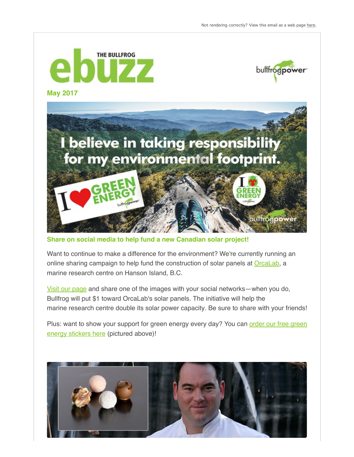bullfrogpower





**Share on social media to help fund a new Canadian solar project!**

Want to continue to make a difference for the environment? We're currently running an online sharing campaign to help fund the construction of solar panels at Orcal ab, a marine research centre on Hanson Island, B.C.

[Visit our page](http://gogreen.bullfrogpower.com/support-green-energy-for-free) and share one of the images with your social networks—when you do, Bullfrog will put \$1 toward OrcaLab's solar panels. The initiative will help the marine research centre double its solar power capacity. Be sure to share with your friends!

[Plus: want to show your support for green energy every day? You can order our free green](http://gogreen.bullfrogpower.com/support-green-energy-for-free) energy stickers here (pictured above)!

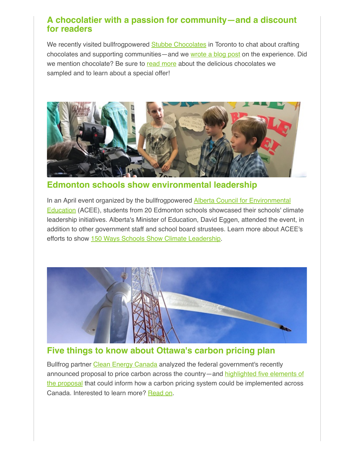## **A chocolatier with a passion for community—and a discount for readers**

We recently visited bullfrogpowered [Stubbe Chocolates](https://www.facebook.com/StubbeChocolates/) in Toronto to chat about crafting chocolates and supporting communities—and we [wrote a blog post](https://www.bullfrogpower.com/chocolatier-with-a-passion-for-his-community/) on the experience. Did we mention chocolate? Be sure to [read more](https://www.bullfrogpower.com/chocolatier-with-a-passion-for-his-community/) about the delicious chocolates we sampled and to learn about a special offer!



**Edmonton schools show environmental leadership**

In an April event organized by the bullfrogpowered **Alberta Council for Environmental** Education (ACEE), students from 20 Edmonton schools showcased their schools' climate leadership initiatives. Alberta's Minister of Education, David Eggen, attended the event, in addition to other government staff and school board strustees. Learn more about ACEE's efforts to show [150 Ways Schools Show Climate Leadership.](http://www.abcee.org/150-ways)



## **Five things to know about Ottawa's carbon pricing plan**

Bullfrog partner [Clean Energy Canada](http://www.cleanenergycanada.org/) analyzed the federal government's recently [announced proposal to price carbon across the country—and highlighted five elements of](http://cleanenergycanada.org/five-things-to-know-about-ottawas-carbon-pricing-plan/) the proposal that could inform how a carbon pricing system could be implemented across Canada. Interested to learn more? [Read on](http://cleanenergycanada.org/five-things-to-know-about-ottawas-carbon-pricing-plan/).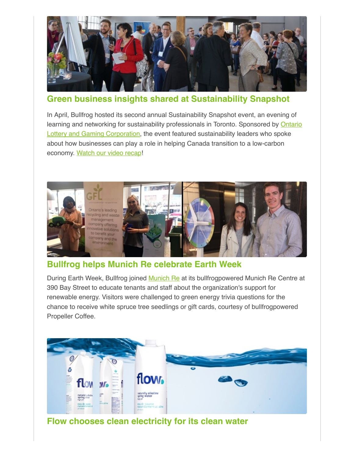

**Green business insights shared at Sustainability Snapshot**

In April, Bullfrog hosted its second annual Sustainability Snapshot event, an evening of [learning and networking for sustainability professionals in Toronto. Sponsored by Ontario](http://www.olg.ca/) Lottery and Gaming Corporation, the event featured sustainability leaders who spoke about how businesses can play a role in helping Canada transition to a low-carbon economy. [Watch our video recap!](https://youtu.be/pdSCdrQudQ4)



## **Bullfrog helps Munich Re celebrate Earth Week**

During Earth Week, Bullfrog joined [Munich Re](https://www.munichre.com/ca/life/home/index.html) at its bullfrogpowered Munich Re Centre at 390 Bay Street to educate tenants and staff about the organization's support for renewable energy. Visitors were challenged to green energy trivia questions for the chance to receive white spruce tree seedlings or gift cards, courtesy of bullfrogpowered Propeller Coffee.



**Flow chooses clean electricity for its clean water**